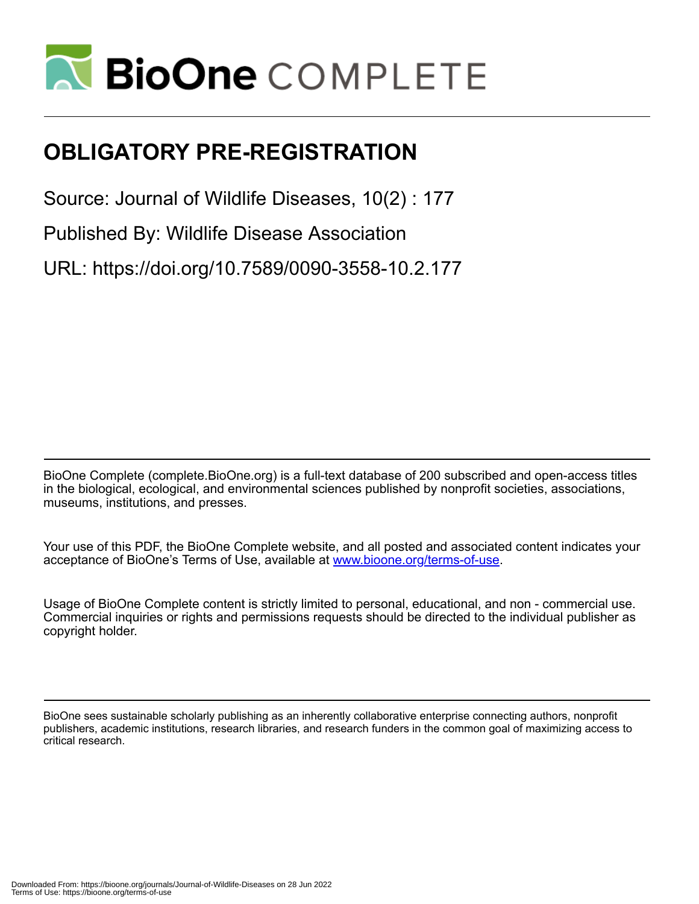

## **OBLIGATORY PRE-REGISTRATION**

Source: Journal of Wildlife Diseases, 10(2) : 177

Published By: Wildlife Disease Association

URL: https://doi.org/10.7589/0090-3558-10.2.177

BioOne Complete (complete.BioOne.org) is a full-text database of 200 subscribed and open-access titles in the biological, ecological, and environmental sciences published by nonprofit societies, associations, museums, institutions, and presses.

Your use of this PDF, the BioOne Complete website, and all posted and associated content indicates your acceptance of BioOne's Terms of Use, available at www.bioone.org/terms-of-use.

Usage of BioOne Complete content is strictly limited to personal, educational, and non - commercial use. Commercial inquiries or rights and permissions requests should be directed to the individual publisher as copyright holder.

BioOne sees sustainable scholarly publishing as an inherently collaborative enterprise connecting authors, nonprofit publishers, academic institutions, research libraries, and research funders in the common goal of maximizing access to critical research.